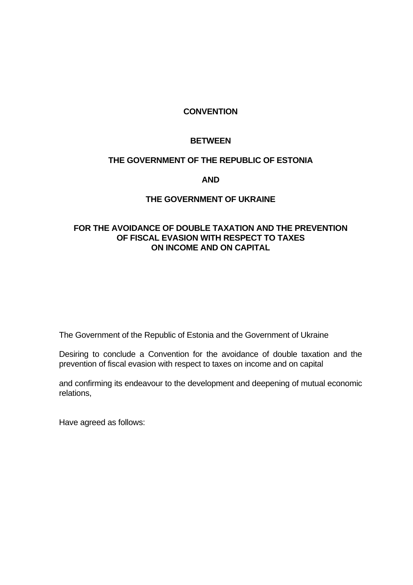### **CONVENTION**

### **BETWEEN**

### **THE GOVERNMENT OF THE REPUBLIC OF ESTONIA**

#### **AND**

# **THE GOVERNMENT OF UKRAINE**

# **FOR THE AVOIDANCE OF DOUBLE TAXATION AND THE PREVENTION OF FISCAL EVASION WITH RESPECT TO TAXES ON INCOME AND ON CAPITAL**

The Government of the Republic of Estonia and the Government of Ukraine

Desiring to conclude a Convention for the avoidance of double taxation and the prevention of fiscal evasion with respect to taxes on income and on capital

and confirming its endeavour to the development and deepening of mutual economic relations,

Have agreed as follows: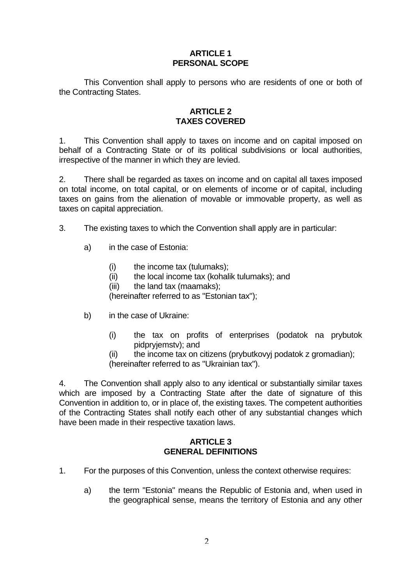# **ARTICLE 1 PERSONAL SCOPE**

 This Convention shall apply to persons who are residents of one or both of the Contracting States.

## **ARTICLE 2 TAXES COVERED**

1. This Convention shall apply to taxes on income and on capital imposed on behalf of a Contracting State or of its political subdivisions or local authorities, irrespective of the manner in which they are levied.

2. There shall be regarded as taxes on income and on capital all taxes imposed on total income, on total capital, or on elements of income or of capital, including taxes on gains from the alienation of movable or immovable property, as well as taxes on capital appreciation.

- 3. The existing taxes to which the Convention shall apply are in particular:
	- a) in the case of Estonia:
		- (i) the income tax (tulumaks);
		- (ii) the local income tax (kohalik tulumaks); and
		- (iii) the land tax (maamaks);

(hereinafter referred to as "Estonian tax");

- b) in the case of Ukraine:
	- (i) the tax on profits of enterprises (podatok na prybutok pidpryjemstv); and
	- (ii) the income tax on citizens (prybutkovyj podatok z gromadian);

(hereinafter referred to as "Ukrainian tax").

4. The Convention shall apply also to any identical or substantially similar taxes which are imposed by a Contracting State after the date of signature of this Convention in addition to, or in place of, the existing taxes. The competent authorities of the Contracting States shall notify each other of any substantial changes which have been made in their respective taxation laws.

#### **ARTICLE 3 GENERAL DEFINITIONS**

- 1. For the purposes of this Convention, unless the context otherwise requires:
	- a) the term "Estonia" means the Republic of Estonia and, when used in the geographical sense, means the territory of Estonia and any other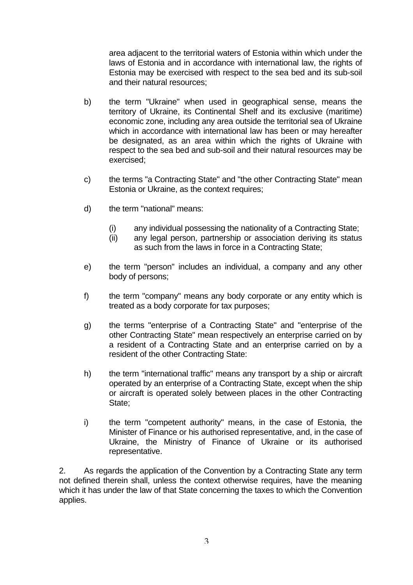area adjacent to the territorial waters of Estonia within which under the laws of Estonia and in accordance with international law, the rights of Estonia may be exercised with respect to the sea bed and its sub-soil and their natural resources;

- b) the term "Ukraine" when used in geographical sense, means the territory of Ukraine, its Continental Shelf and its exclusive (maritime) economic zone, including any area outside the territorial sea of Ukraine which in accordance with international law has been or may hereafter be designated, as an area within which the rights of Ukraine with respect to the sea bed and sub-soil and their natural resources may be exercised;
- c) the terms "a Contracting State" and "the other Contracting State" mean Estonia or Ukraine, as the context requires;
- d) the term "national" means:
	- (i) any individual possessing the nationality of a Contracting State;
	- (ii) any legal person, partnership or association deriving its status as such from the laws in force in a Contracting State;
- e) the term "person" includes an individual, a company and any other body of persons;
- f) the term "company" means any body corporate or any entity which is treated as a body corporate for tax purposes;
- g) the terms "enterprise of a Contracting State" and "enterprise of the other Contracting State" mean respectively an enterprise carried on by a resident of a Contracting State and an enterprise carried on by a resident of the other Contracting State:
- h) the term "international traffic" means any transport by a ship or aircraft operated by an enterprise of a Contracting State, except when the ship or aircraft is operated solely between places in the other Contracting State;
- i) the term "competent authority" means, in the case of Estonia, the Minister of Finance or his authorised representative, and, in the case of Ukraine, the Ministry of Finance of Ukraine or its authorised representative.

2. As regards the application of the Convention by a Contracting State any term not defined therein shall, unless the context otherwise requires, have the meaning which it has under the law of that State concerning the taxes to which the Convention applies.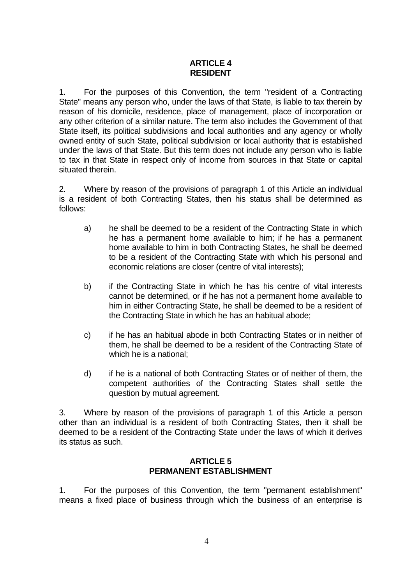# **ARTICLE 4 RESIDENT**

1. For the purposes of this Convention, the term "resident of a Contracting State" means any person who, under the laws of that State, is liable to tax therein by reason of his domicile, residence, place of management, place of incorporation or any other criterion of a similar nature. The term also includes the Government of that State itself, its political subdivisions and local authorities and any agency or wholly owned entity of such State, political subdivision or local authority that is established under the laws of that State. But this term does not include any person who is liable to tax in that State in respect only of income from sources in that State or capital situated therein.

2. Where by reason of the provisions of paragraph 1 of this Article an individual is a resident of both Contracting States, then his status shall be determined as follows:

- a) he shall be deemed to be a resident of the Contracting State in which he has a permanent home available to him; if he has a permanent home available to him in both Contracting States, he shall be deemed to be a resident of the Contracting State with which his personal and economic relations are closer (centre of vital interests);
- b) if the Contracting State in which he has his centre of vital interests cannot be determined, or if he has not a permanent home available to him in either Contracting State, he shall be deemed to be a resident of the Contracting State in which he has an habitual abode;
- c) if he has an habitual abode in both Contracting States or in neither of them, he shall be deemed to be a resident of the Contracting State of which he is a national;
- d) if he is a national of both Contracting States or of neither of them, the competent authorities of the Contracting States shall settle the question by mutual agreement.

3. Where by reason of the provisions of paragraph 1 of this Article a person other than an individual is a resident of both Contracting States, then it shall be deemed to be a resident of the Contracting State under the laws of which it derives its status as such.

# **ARTICLE 5 PERMANENT ESTABLISHMENT**

1. For the purposes of this Convention, the term "permanent establishment" means a fixed place of business through which the business of an enterprise is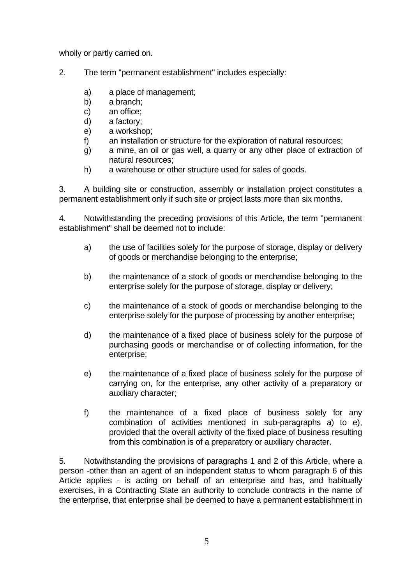wholly or partly carried on.

- 2. The term "permanent establishment" includes especially:
	- a) a place of management;
	- b) a branch;
	- c) an office;
	- d) a factory;
	- e) a workshop;
	- f) an installation or structure for the exploration of natural resources;
	- g) a mine, an oil or gas well, a quarry or any other place of extraction of natural resources;
	- h) a warehouse or other structure used for sales of goods.

3. A building site or construction, assembly or installation project constitutes a permanent establishment only if such site or project lasts more than six months.

4. Notwithstanding the preceding provisions of this Article, the term "permanent establishment" shall be deemed not to include:

- a) the use of facilities solely for the purpose of storage, display or delivery of goods or merchandise belonging to the enterprise;
- b) the maintenance of a stock of goods or merchandise belonging to the enterprise solely for the purpose of storage, display or delivery;
- c) the maintenance of a stock of goods or merchandise belonging to the enterprise solely for the purpose of processing by another enterprise;
- d) the maintenance of a fixed place of business solely for the purpose of purchasing goods or merchandise or of collecting information, for the enterprise;
- e) the maintenance of a fixed place of business solely for the purpose of carrying on, for the enterprise, any other activity of a preparatory or auxiliary character;
- f) the maintenance of a fixed place of business solely for any combination of activities mentioned in sub-paragraphs a) to e), provided that the overall activity of the fixed place of business resulting from this combination is of a preparatory or auxiliary character.

5. Notwithstanding the provisions of paragraphs 1 and 2 of this Article, where a person -other than an agent of an independent status to whom paragraph 6 of this Article applies - is acting on behalf of an enterprise and has, and habitually exercises, in a Contracting State an authority to conclude contracts in the name of the enterprise, that enterprise shall be deemed to have a permanent establishment in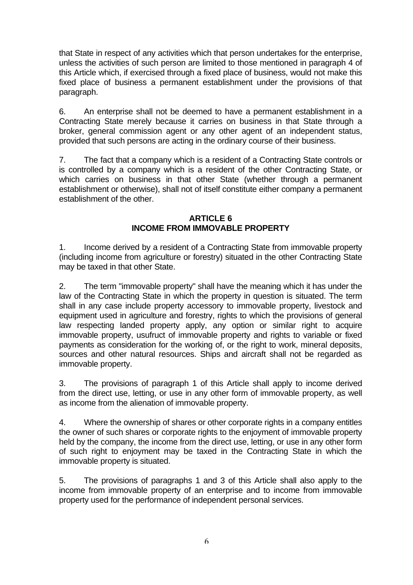that State in respect of any activities which that person undertakes for the enterprise, unless the activities of such person are limited to those mentioned in paragraph 4 of this Article which, if exercised through a fixed place of business, would not make this fixed place of business a permanent establishment under the provisions of that paragraph.

6. An enterprise shall not be deemed to have a permanent establishment in a Contracting State merely because it carries on business in that State through a broker, general commission agent or any other agent of an independent status, provided that such persons are acting in the ordinary course of their business.

7. The fact that a company which is a resident of a Contracting State controls or is controlled by a company which is a resident of the other Contracting State, or which carries on business in that other State (whether through a permanent establishment or otherwise), shall not of itself constitute either company a permanent establishment of the other.

## **ARTICLE 6 INCOME FROM IMMOVABLE PROPERTY**

1. Income derived by a resident of a Contracting State from immovable property (including income from agriculture or forestry) situated in the other Contracting State may be taxed in that other State.

2. The term "immovable property" shall have the meaning which it has under the law of the Contracting State in which the property in question is situated. The term shall in any case include property accessory to immovable property, livestock and equipment used in agriculture and forestry, rights to which the provisions of general law respecting landed property apply, any option or similar right to acquire immovable property, usufruct of immovable property and rights to variable or fixed payments as consideration for the working of, or the right to work, mineral deposits, sources and other natural resources. Ships and aircraft shall not be regarded as immovable property.

3. The provisions of paragraph 1 of this Article shall apply to income derived from the direct use, letting, or use in any other form of immovable property, as well as income from the alienation of immovable property.

4. Where the ownership of shares or other corporate rights in a company entitles the owner of such shares or corporate rights to the enjoyment of immovable property held by the company, the income from the direct use, letting, or use in any other form of such right to enjoyment may be taxed in the Contracting State in which the immovable property is situated.

5. The provisions of paragraphs 1 and 3 of this Article shall also apply to the income from immovable property of an enterprise and to income from immovable property used for the performance of independent personal services.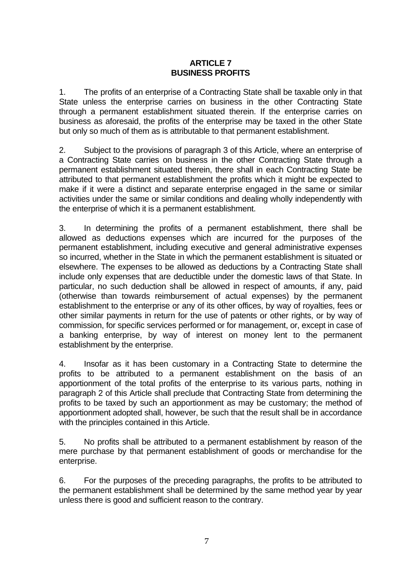### **ARTICLE 7 BUSINESS PROFITS**

1. The profits of an enterprise of a Contracting State shall be taxable only in that State unless the enterprise carries on business in the other Contracting State through a permanent establishment situated therein. If the enterprise carries on business as aforesaid, the profits of the enterprise may be taxed in the other State but only so much of them as is attributable to that permanent establishment.

2. Subject to the provisions of paragraph 3 of this Article, where an enterprise of a Contracting State carries on business in the other Contracting State through a permanent establishment situated therein, there shall in each Contracting State be attributed to that permanent establishment the profits which it might be expected to make if it were a distinct and separate enterprise engaged in the same or similar activities under the same or similar conditions and dealing wholly independently with the enterprise of which it is a permanent establishment.

3. In determining the profits of a permanent establishment, there shall be allowed as deductions expenses which are incurred for the purposes of the permanent establishment, including executive and general administrative expenses so incurred, whether in the State in which the permanent establishment is situated or elsewhere. The expenses to be allowed as deductions by a Contracting State shall include only expenses that are deductible under the domestic laws of that State. In particular, no such deduction shall be allowed in respect of amounts, if any, paid (otherwise than towards reimbursement of actual expenses) by the permanent establishment to the enterprise or any of its other offices, by way of royalties, fees or other similar payments in return for the use of patents or other rights, or by way of commission, for specific services performed or for management, or, except in case of a banking enterprise, by way of interest on money lent to the permanent establishment by the enterprise.

4. Insofar as it has been customary in a Contracting State to determine the profits to be attributed to a permanent establishment on the basis of an apportionment of the total profits of the enterprise to its various parts, nothing in paragraph 2 of this Article shall preclude that Contracting State from determining the profits to be taxed by such an apportionment as may be customary; the method of apportionment adopted shall, however, be such that the result shall be in accordance with the principles contained in this Article.

5. No profits shall be attributed to a permanent establishment by reason of the mere purchase by that permanent establishment of goods or merchandise for the enterprise.

6. For the purposes of the preceding paragraphs, the profits to be attributed to the permanent establishment shall be determined by the same method year by year unless there is good and sufficient reason to the contrary.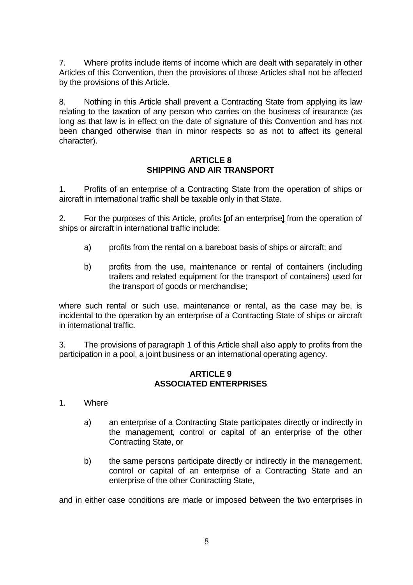7. Where profits include items of income which are dealt with separately in other Articles of this Convention, then the provisions of those Articles shall not be affected by the provisions of this Article.

8. Nothing in this Article shall prevent a Contracting State from applying its law relating to the taxation of any person who carries on the business of insurance (as long as that law is in effect on the date of signature of this Convention and has not been changed otherwise than in minor respects so as not to affect its general character).

#### **ARTICLE 8 SHIPPING AND AIR TRANSPORT**

1. Profits of an enterprise of a Contracting State from the operation of ships or aircraft in international traffic shall be taxable only in that State.

2. For the purposes of this Article, profits [of an enterprise] from the operation of ships or aircraft in international traffic include:

- a) profits from the rental on a bareboat basis of ships or aircraft; and
- b) profits from the use, maintenance or rental of containers (including trailers and related equipment for the transport of containers) used for the transport of goods or merchandise;

where such rental or such use, maintenance or rental, as the case may be, is incidental to the operation by an enterprise of a Contracting State of ships or aircraft in international traffic.

3. The provisions of paragraph 1 of this Article shall also apply to profits from the participation in a pool, a joint business or an international operating agency.

### **ARTICLE 9 ASSOCIATED ENTERPRISES**

- 1. Where
	- a) an enterprise of a Contracting State participates directly or indirectly in the management, control or capital of an enterprise of the other Contracting State, or
	- b) the same persons participate directly or indirectly in the management, control or capital of an enterprise of a Contracting State and an enterprise of the other Contracting State,

and in either case conditions are made or imposed between the two enterprises in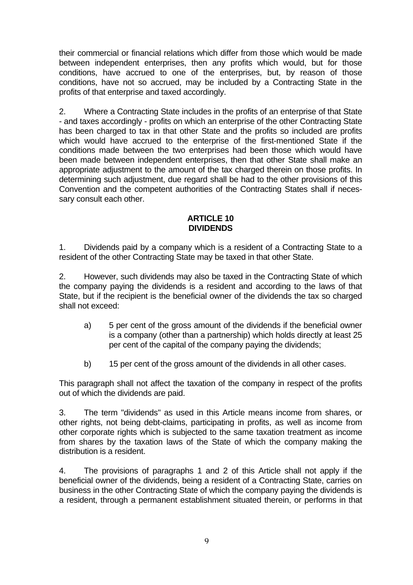their commercial or financial relations which differ from those which would be made between independent enterprises, then any profits which would, but for those conditions, have accrued to one of the enterprises, but, by reason of those conditions, have not so accrued, may be included by a Contracting State in the profits of that enterprise and taxed accordingly.

2. Where a Contracting State includes in the profits of an enterprise of that State - and taxes accordingly - profits on which an enterprise of the other Contracting State has been charged to tax in that other State and the profits so included are profits which would have accrued to the enterprise of the first-mentioned State if the conditions made between the two enterprises had been those which would have been made between independent enterprises, then that other State shall make an appropriate adjustment to the amount of the tax charged therein on those profits. In determining such adjustment, due regard shall be had to the other provisions of this Convention and the competent authorities of the Contracting States shall if necessary consult each other.

## **ARTICLE 10 DIVIDENDS**

1. Dividends paid by a company which is a resident of a Contracting State to a resident of the other Contracting State may be taxed in that other State.

2. However, such dividends may also be taxed in the Contracting State of which the company paying the dividends is a resident and according to the laws of that State, but if the recipient is the beneficial owner of the dividends the tax so charged shall not exceed:

- a) 5 per cent of the gross amount of the dividends if the beneficial owner is a company (other than a partnership) which holds directly at least 25 per cent of the capital of the company paying the dividends;
- b) 15 per cent of the gross amount of the dividends in all other cases.

This paragraph shall not affect the taxation of the company in respect of the profits out of which the dividends are paid.

3. The term "dividends" as used in this Article means income from shares, or other rights, not being debt-claims, participating in profits, as well as income from other corporate rights which is subjected to the same taxation treatment as income from shares by the taxation laws of the State of which the company making the distribution is a resident.

4. The provisions of paragraphs 1 and 2 of this Article shall not apply if the beneficial owner of the dividends, being a resident of a Contracting State, carries on business in the other Contracting State of which the company paying the dividends is a resident, through a permanent establishment situated therein, or performs in that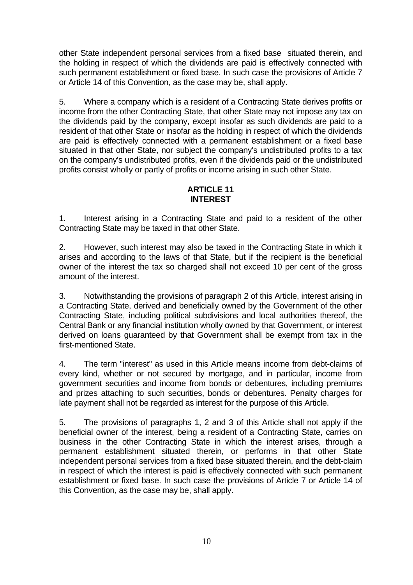other State independent personal services from a fixed base situated therein, and the holding in respect of which the dividends are paid is effectively connected with such permanent establishment or fixed base. In such case the provisions of Article 7 or Article 14 of this Convention, as the case may be, shall apply.

5. Where a company which is a resident of a Contracting State derives profits or income from the other Contracting State, that other State may not impose any tax on the dividends paid by the company, except insofar as such dividends are paid to a resident of that other State or insofar as the holding in respect of which the dividends are paid is effectively connected with a permanent establishment or a fixed base situated in that other State, nor subject the company's undistributed profits to a tax on the company's undistributed profits, even if the dividends paid or the undistributed profits consist wholly or partly of profits or income arising in such other State.

# **ARTICLE 11 INTEREST**

1. Interest arising in a Contracting State and paid to a resident of the other Contracting State may be taxed in that other State.

2. However, such interest may also be taxed in the Contracting State in which it arises and according to the laws of that State, but if the recipient is the beneficial owner of the interest the tax so charged shall not exceed 10 per cent of the gross amount of the interest.

3. Notwithstanding the provisions of paragraph 2 of this Article, interest arising in a Contracting State, derived and beneficially owned by the Government of the other Contracting State, including political subdivisions and local authorities thereof, the Central Bank or any financial institution wholly owned by that Government, or interest derived on loans guaranteed by that Government shall be exempt from tax in the first-mentioned State.

4. The term "interest" as used in this Article means income from debt-claims of every kind, whether or not secured by mortgage, and in particular, income from government securities and income from bonds or debentures, including premiums and prizes attaching to such securities, bonds or debentures. Penalty charges for late payment shall not be regarded as interest for the purpose of this Article.

5. The provisions of paragraphs 1, 2 and 3 of this Article shall not apply if the beneficial owner of the interest, being a resident of a Contracting State, carries on business in the other Contracting State in which the interest arises, through a permanent establishment situated therein, or performs in that other State independent personal services from a fixed base situated therein, and the debt-claim in respect of which the interest is paid is effectively connected with such permanent establishment or fixed base. In such case the provisions of Article 7 or Article 14 of this Convention, as the case may be, shall apply.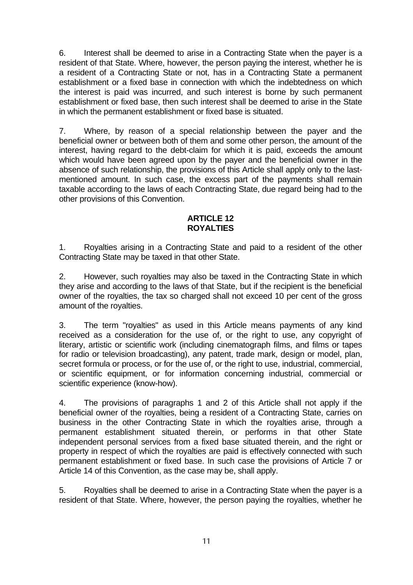6. Interest shall be deemed to arise in a Contracting State when the payer is a resident of that State. Where, however, the person paying the interest, whether he is a resident of a Contracting State or not, has in a Contracting State a permanent establishment or a fixed base in connection with which the indebtedness on which the interest is paid was incurred, and such interest is borne by such permanent establishment or fixed base, then such interest shall be deemed to arise in the State in which the permanent establishment or fixed base is situated.

7. Where, by reason of a special relationship between the payer and the beneficial owner or between both of them and some other person, the amount of the interest, having regard to the debt-claim for which it is paid, exceeds the amount which would have been agreed upon by the payer and the beneficial owner in the absence of such relationship, the provisions of this Article shall apply only to the lastmentioned amount. In such case, the excess part of the payments shall remain taxable according to the laws of each Contracting State, due regard being had to the other provisions of this Convention.

# **ARTICLE 12 ROYALTIES**

1. Royalties arising in a Contracting State and paid to a resident of the other Contracting State may be taxed in that other State.

2. However, such royalties may also be taxed in the Contracting State in which they arise and according to the laws of that State, but if the recipient is the beneficial owner of the royalties, the tax so charged shall not exceed 10 per cent of the gross amount of the royalties.

3. The term "royalties" as used in this Article means payments of any kind received as a consideration for the use of, or the right to use, any copyright of literary, artistic or scientific work (including cinematograph films, and films or tapes for radio or television broadcasting), any patent, trade mark, design or model, plan, secret formula or process, or for the use of, or the right to use, industrial, commercial, or scientific equipment, or for information concerning industrial, commercial or scientific experience (know-how).

4. The provisions of paragraphs 1 and 2 of this Article shall not apply if the beneficial owner of the royalties, being a resident of a Contracting State, carries on business in the other Contracting State in which the royalties arise, through a permanent establishment situated therein, or performs in that other State independent personal services from a fixed base situated therein, and the right or property in respect of which the royalties are paid is effectively connected with such permanent establishment or fixed base. In such case the provisions of Article 7 or Article 14 of this Convention, as the case may be, shall apply.

5. Royalties shall be deemed to arise in a Contracting State when the payer is a resident of that State. Where, however, the person paying the royalties, whether he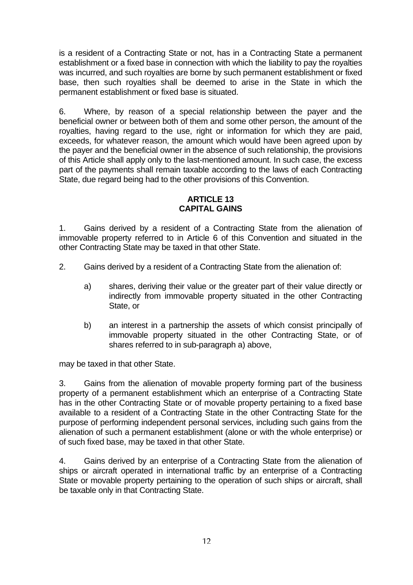is a resident of a Contracting State or not, has in a Contracting State a permanent establishment or a fixed base in connection with which the liability to pay the royalties was incurred, and such royalties are borne by such permanent establishment or fixed base, then such royalties shall be deemed to arise in the State in which the permanent establishment or fixed base is situated.

6. Where, by reason of a special relationship between the payer and the beneficial owner or between both of them and some other person, the amount of the royalties, having regard to the use, right or information for which they are paid, exceeds, for whatever reason, the amount which would have been agreed upon by the payer and the beneficial owner in the absence of such relationship, the provisions of this Article shall apply only to the last-mentioned amount. In such case, the excess part of the payments shall remain taxable according to the laws of each Contracting State, due regard being had to the other provisions of this Convention.

# **ARTICLE 13 CAPITAL GAINS**

1. Gains derived by a resident of a Contracting State from the alienation of immovable property referred to in Article 6 of this Convention and situated in the other Contracting State may be taxed in that other State.

- 2. Gains derived by a resident of a Contracting State from the alienation of:
	- a) shares, deriving their value or the greater part of their value directly or indirectly from immovable property situated in the other Contracting State, or
	- b) an interest in a partnership the assets of which consist principally of immovable property situated in the other Contracting State, or of shares referred to in sub-paragraph a) above,

may be taxed in that other State.

3. Gains from the alienation of movable property forming part of the business property of a permanent establishment which an enterprise of a Contracting State has in the other Contracting State or of movable property pertaining to a fixed base available to a resident of a Contracting State in the other Contracting State for the purpose of performing independent personal services, including such gains from the alienation of such a permanent establishment (alone or with the whole enterprise) or of such fixed base, may be taxed in that other State.

4. Gains derived by an enterprise of a Contracting State from the alienation of ships or aircraft operated in international traffic by an enterprise of a Contracting State or movable property pertaining to the operation of such ships or aircraft, shall be taxable only in that Contracting State.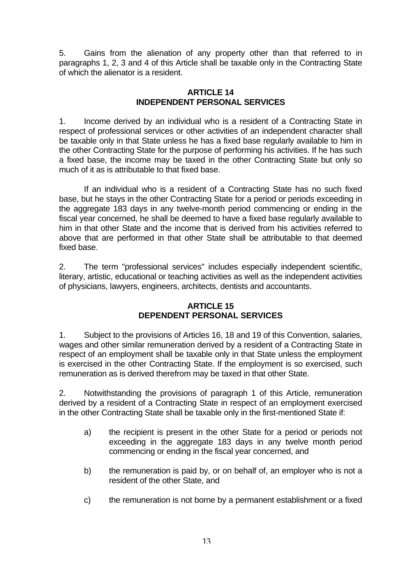5. Gains from the alienation of any property other than that referred to in paragraphs 1, 2, 3 and 4 of this Article shall be taxable only in the Contracting State of which the alienator is a resident.

## **ARTICLE 14 INDEPENDENT PERSONAL SERVICES**

1. Income derived by an individual who is a resident of a Contracting State in respect of professional services or other activities of an independent character shall be taxable only in that State unless he has a fixed base regularly available to him in the other Contracting State for the purpose of performing his activities. If he has such a fixed base, the income may be taxed in the other Contracting State but only so much of it as is attributable to that fixed base.

 If an individual who is a resident of a Contracting State has no such fixed base, but he stays in the other Contracting State for a period or periods exceeding in the aggregate 183 days in any twelve-month period commencing or ending in the fiscal year concerned, he shall be deemed to have a fixed base regularly available to him in that other State and the income that is derived from his activities referred to above that are performed in that other State shall be attributable to that deemed fixed base.

2. The term "professional services" includes especially independent scientific, literary, artistic, educational or teaching activities as well as the independent activities of physicians, lawyers, engineers, architects, dentists and accountants.

### **ARTICLE 15 DEPENDENT PERSONAL SERVICES**

1. Subject to the provisions of Articles 16, 18 and 19 of this Convention, salaries, wages and other similar remuneration derived by a resident of a Contracting State in respect of an employment shall be taxable only in that State unless the employment is exercised in the other Contracting State. If the employment is so exercised, such remuneration as is derived therefrom may be taxed in that other State.

2. Notwithstanding the provisions of paragraph 1 of this Article, remuneration derived by a resident of a Contracting State in respect of an employment exercised in the other Contracting State shall be taxable only in the first-mentioned State if:

- a) the recipient is present in the other State for a period or periods not exceeding in the aggregate 183 days in any twelve month period commencing or ending in the fiscal year concerned, and
- b) the remuneration is paid by, or on behalf of, an employer who is not a resident of the other State, and
- c) the remuneration is not borne by a permanent establishment or a fixed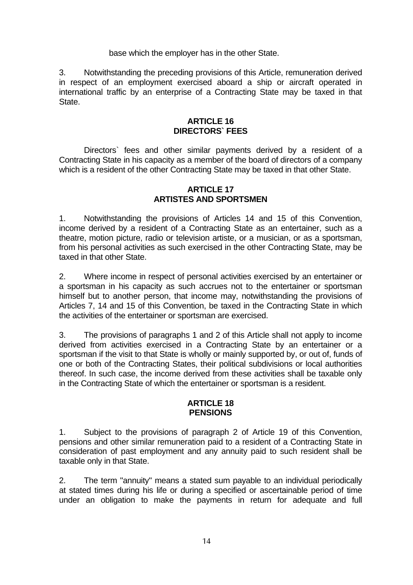#### base which the employer has in the other State.

3. Notwithstanding the preceding provisions of this Article, remuneration derived in respect of an employment exercised aboard a ship or aircraft operated in international traffic by an enterprise of a Contracting State may be taxed in that State.

#### **ARTICLE 16 DIRECTORS` FEES**

 Directors` fees and other similar payments derived by a resident of a Contracting State in his capacity as a member of the board of directors of a company which is a resident of the other Contracting State may be taxed in that other State.

### **ARTICLE 17 ARTISTES AND SPORTSMEN**

1. Notwithstanding the provisions of Articles 14 and 15 of this Convention, income derived by a resident of a Contracting State as an entertainer, such as a theatre, motion picture, radio or television artiste, or a musician, or as a sportsman, from his personal activities as such exercised in the other Contracting State, may be taxed in that other State.

2. Where income in respect of personal activities exercised by an entertainer or a sportsman in his capacity as such accrues not to the entertainer or sportsman himself but to another person, that income may, notwithstanding the provisions of Articles 7, 14 and 15 of this Convention, be taxed in the Contracting State in which the activities of the entertainer or sportsman are exercised.

3. The provisions of paragraphs 1 and 2 of this Article shall not apply to income derived from activities exercised in a Contracting State by an entertainer or a sportsman if the visit to that State is wholly or mainly supported by, or out of, funds of one or both of the Contracting States, their political subdivisions or local authorities thereof. In such case, the income derived from these activities shall be taxable only in the Contracting State of which the entertainer or sportsman is a resident.

### **ARTICLE 18 PENSIONS**

1. Subject to the provisions of paragraph 2 of Article 19 of this Convention, pensions and other similar remuneration paid to a resident of a Contracting State in consideration of past employment and any annuity paid to such resident shall be taxable only in that State.

2. The term "annuity" means a stated sum payable to an individual periodically at stated times during his life or during a specified or ascertainable period of time under an obligation to make the payments in return for adequate and full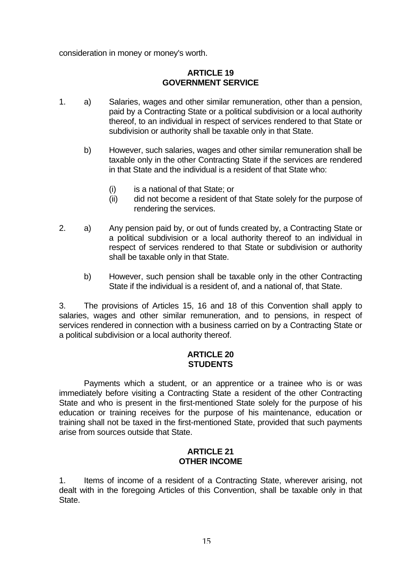consideration in money or money's worth.

#### **ARTICLE 19 GOVERNMENT SERVICE**

- 1. a) Salaries, wages and other similar remuneration, other than a pension, paid by a Contracting State or a political subdivision or a local authority thereof, to an individual in respect of services rendered to that State or subdivision or authority shall be taxable only in that State.
	- b) However, such salaries, wages and other similar remuneration shall be taxable only in the other Contracting State if the services are rendered in that State and the individual is a resident of that State who:
		- (i) is a national of that State; or
		- (ii) did not become a resident of that State solely for the purpose of rendering the services.
- 2. a) Any pension paid by, or out of funds created by, a Contracting State or a political subdivision or a local authority thereof to an individual in respect of services rendered to that State or subdivision or authority shall be taxable only in that State.
	- b) However, such pension shall be taxable only in the other Contracting State if the individual is a resident of, and a national of, that State.

3. The provisions of Articles 15, 16 and 18 of this Convention shall apply to salaries, wages and other similar remuneration, and to pensions, in respect of services rendered in connection with a business carried on by a Contracting State or a political subdivision or a local authority thereof.

### **ARTICLE 20 STUDENTS**

 Payments which a student, or an apprentice or a trainee who is or was immediately before visiting a Contracting State a resident of the other Contracting State and who is present in the first-mentioned State solely for the purpose of his education or training receives for the purpose of his maintenance, education or training shall not be taxed in the first-mentioned State, provided that such payments arise from sources outside that State.

#### **ARTICLE 21 OTHER INCOME**

1. Items of income of a resident of a Contracting State, wherever arising, not dealt with in the foregoing Articles of this Convention, shall be taxable only in that **State**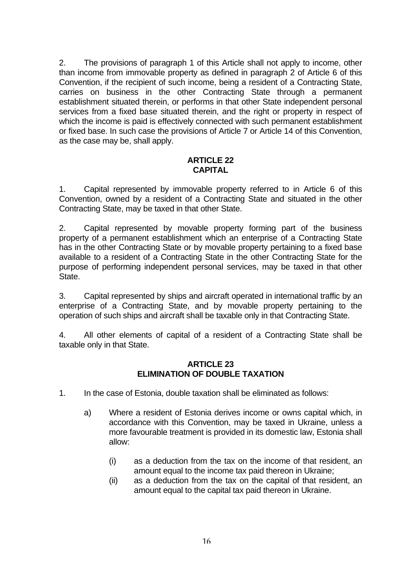2. The provisions of paragraph 1 of this Article shall not apply to income, other than income from immovable property as defined in paragraph 2 of Article 6 of this Convention, if the recipient of such income, being a resident of a Contracting State, carries on business in the other Contracting State through a permanent establishment situated therein, or performs in that other State independent personal services from a fixed base situated therein, and the right or property in respect of which the income is paid is effectively connected with such permanent establishment or fixed base. In such case the provisions of Article 7 or Article 14 of this Convention, as the case may be, shall apply.

## **ARTICLE 22 CAPITAL**

1. Capital represented by immovable property referred to in Article 6 of this Convention, owned by a resident of a Contracting State and situated in the other Contracting State, may be taxed in that other State.

2. Capital represented by movable property forming part of the business property of a permanent establishment which an enterprise of a Contracting State has in the other Contracting State or by movable property pertaining to a fixed base available to a resident of a Contracting State in the other Contracting State for the purpose of performing independent personal services, may be taxed in that other State.

3. Capital represented by ships and aircraft operated in international traffic by an enterprise of a Contracting State, and by movable property pertaining to the operation of such ships and aircraft shall be taxable only in that Contracting State.

4. All other elements of capital of a resident of a Contracting State shall be taxable only in that State.

### **ARTICLE 23 ELIMINATION OF DOUBLE TAXATION**

- 1. In the case of Estonia, double taxation shall be eliminated as follows:
	- a) Where a resident of Estonia derives income or owns capital which, in accordance with this Convention, may be taxed in Ukraine, unless a more favourable treatment is provided in its domestic law, Estonia shall allow:
		- (i) as a deduction from the tax on the income of that resident, an amount equal to the income tax paid thereon in Ukraine;
		- (ii) as a deduction from the tax on the capital of that resident, an amount equal to the capital tax paid thereon in Ukraine.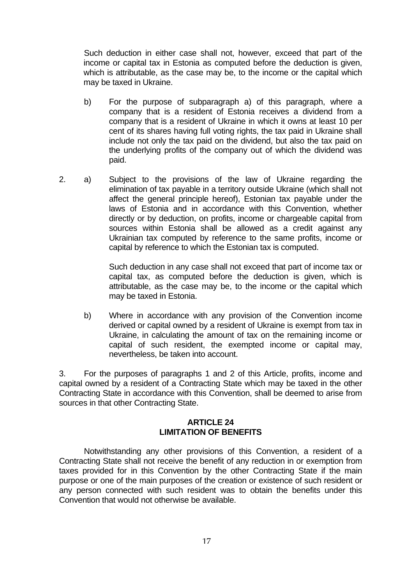Such deduction in either case shall not, however, exceed that part of the income or capital tax in Estonia as computed before the deduction is given, which is attributable, as the case may be, to the income or the capital which may be taxed in Ukraine.

- b) For the purpose of subparagraph a) of this paragraph, where a company that is a resident of Estonia receives a dividend from a company that is a resident of Ukraine in which it owns at least 10 per cent of its shares having full voting rights, the tax paid in Ukraine shall include not only the tax paid on the dividend, but also the tax paid on the underlying profits of the company out of which the dividend was paid.
- 2. a) Subject to the provisions of the law of Ukraine regarding the elimination of tax payable in a territory outside Ukraine (which shall not affect the general principle hereof), Estonian tax payable under the laws of Estonia and in accordance with this Convention, whether directly or by deduction, on profits, income or chargeable capital from sources within Estonia shall be allowed as a credit against any Ukrainian tax computed by reference to the same profits, income or capital by reference to which the Estonian tax is computed.

 Such deduction in any case shall not exceed that part of income tax or capital tax, as computed before the deduction is given, which is attributable, as the case may be, to the income or the capital which may be taxed in Estonia.

 b) Where in accordance with any provision of the Convention income derived or capital owned by a resident of Ukraine is exempt from tax in Ukraine, in calculating the amount of tax on the remaining income or capital of such resident, the exempted income or capital may, nevertheless, be taken into account.

3. For the purposes of paragraphs 1 and 2 of this Article, profits, income and capital owned by a resident of a Contracting State which may be taxed in the other Contracting State in accordance with this Convention, shall be deemed to arise from sources in that other Contracting State.

#### **ARTICLE 24 LIMITATION OF BENEFITS**

 Notwithstanding any other provisions of this Convention, a resident of a Contracting State shall not receive the benefit of any reduction in or exemption from taxes provided for in this Convention by the other Contracting State if the main purpose or one of the main purposes of the creation or existence of such resident or any person connected with such resident was to obtain the benefits under this Convention that would not otherwise be available.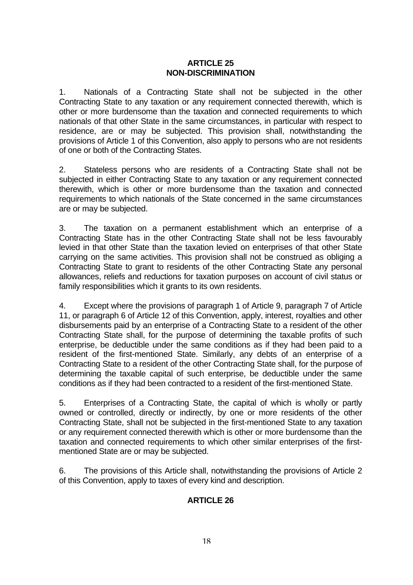#### **ARTICLE 25 NON-DISCRIMINATION**

1. Nationals of a Contracting State shall not be subjected in the other Contracting State to any taxation or any requirement connected therewith, which is other or more burdensome than the taxation and connected requirements to which nationals of that other State in the same circumstances, in particular with respect to residence, are or may be subjected. This provision shall, notwithstanding the provisions of Article 1 of this Convention, also apply to persons who are not residents of one or both of the Contracting States.

2. Stateless persons who are residents of a Contracting State shall not be subjected in either Contracting State to any taxation or any requirement connected therewith, which is other or more burdensome than the taxation and connected requirements to which nationals of the State concerned in the same circumstances are or may be subjected.

3. The taxation on a permanent establishment which an enterprise of a Contracting State has in the other Contracting State shall not be less favourably levied in that other State than the taxation levied on enterprises of that other State carrying on the same activities. This provision shall not be construed as obliging a Contracting State to grant to residents of the other Contracting State any personal allowances, reliefs and reductions for taxation purposes on account of civil status or family responsibilities which it grants to its own residents.

4. Except where the provisions of paragraph 1 of Article 9, paragraph 7 of Article 11, or paragraph 6 of Article 12 of this Convention, apply, interest, royalties and other disbursements paid by an enterprise of a Contracting State to a resident of the other Contracting State shall, for the purpose of determining the taxable profits of such enterprise, be deductible under the same conditions as if they had been paid to a resident of the first-mentioned State. Similarly, any debts of an enterprise of a Contracting State to a resident of the other Contracting State shall, for the purpose of determining the taxable capital of such enterprise, be deductible under the same conditions as if they had been contracted to a resident of the first-mentioned State.

5. Enterprises of a Contracting State, the capital of which is wholly or partly owned or controlled, directly or indirectly, by one or more residents of the other Contracting State, shall not be subjected in the first-mentioned State to any taxation or any requirement connected therewith which is other or more burdensome than the taxation and connected requirements to which other similar enterprises of the firstmentioned State are or may be subjected.

6. The provisions of this Article shall, notwithstanding the provisions of Article 2 of this Convention, apply to taxes of every kind and description.

# **ARTICLE 26**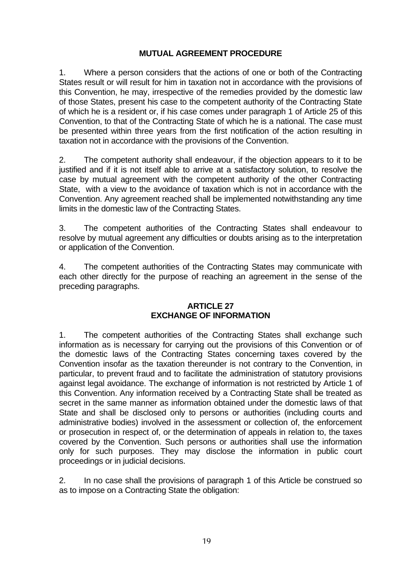## **MUTUAL AGREEMENT PROCEDURE**

1. Where a person considers that the actions of one or both of the Contracting States result or will result for him in taxation not in accordance with the provisions of this Convention, he may, irrespective of the remedies provided by the domestic law of those States, present his case to the competent authority of the Contracting State of which he is a resident or, if his case comes under paragraph 1 of Article 25 of this Convention, to that of the Contracting State of which he is a national. The case must be presented within three years from the first notification of the action resulting in taxation not in accordance with the provisions of the Convention.

2. The competent authority shall endeavour, if the objection appears to it to be justified and if it is not itself able to arrive at a satisfactory solution, to resolve the case by mutual agreement with the competent authority of the other Contracting State, with a view to the avoidance of taxation which is not in accordance with the Convention. Any agreement reached shall be implemented notwithstanding any time limits in the domestic law of the Contracting States.

3. The competent authorities of the Contracting States shall endeavour to resolve by mutual agreement any difficulties or doubts arising as to the interpretation or application of the Convention.

4. The competent authorities of the Contracting States may communicate with each other directly for the purpose of reaching an agreement in the sense of the preceding paragraphs.

# **ARTICLE 27 EXCHANGE OF INFORMATION**

1. The competent authorities of the Contracting States shall exchange such information as is necessary for carrying out the provisions of this Convention or of the domestic laws of the Contracting States concerning taxes covered by the Convention insofar as the taxation thereunder is not contrary to the Convention, in particular, to prevent fraud and to facilitate the administration of statutory provisions against legal avoidance. The exchange of information is not restricted by Article 1 of this Convention. Any information received by a Contracting State shall be treated as secret in the same manner as information obtained under the domestic laws of that State and shall be disclosed only to persons or authorities (including courts and administrative bodies) involved in the assessment or collection of, the enforcement or prosecution in respect of, or the determination of appeals in relation to, the taxes covered by the Convention. Such persons or authorities shall use the information only for such purposes. They may disclose the information in public court proceedings or in judicial decisions.

2. In no case shall the provisions of paragraph 1 of this Article be construed so as to impose on a Contracting State the obligation: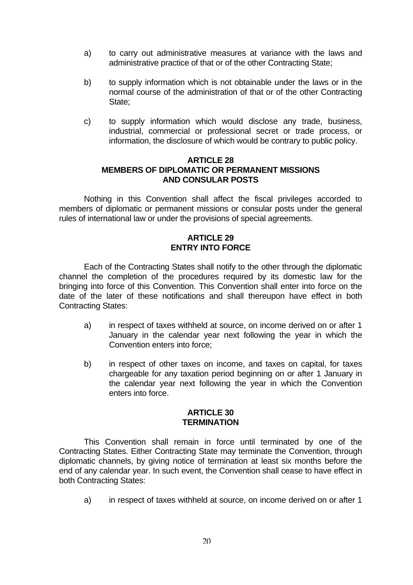- a) to carry out administrative measures at variance with the laws and administrative practice of that or of the other Contracting State;
- b) to supply information which is not obtainable under the laws or in the normal course of the administration of that or of the other Contracting State;
- c) to supply information which would disclose any trade, business, industrial, commercial or professional secret or trade process, or information, the disclosure of which would be contrary to public policy.

### **ARTICLE 28 MEMBERS OF DIPLOMATIC OR PERMANENT MISSIONS AND CONSULAR POSTS**

 Nothing in this Convention shall affect the fiscal privileges accorded to members of diplomatic or permanent missions or consular posts under the general rules of international law or under the provisions of special agreements.

# **ARTICLE 29 ENTRY INTO FORCE**

 Each of the Contracting States shall notify to the other through the diplomatic channel the completion of the procedures required by its domestic law for the bringing into force of this Convention. This Convention shall enter into force on the date of the later of these notifications and shall thereupon have effect in both Contracting States:

- a) in respect of taxes withheld at source, on income derived on or after 1 January in the calendar year next following the year in which the Convention enters into force;
- b) in respect of other taxes on income, and taxes on capital, for taxes chargeable for any taxation period beginning on or after 1 January in the calendar year next following the year in which the Convention enters into force.

#### **ARTICLE 30 TERMINATION**

 This Convention shall remain in force until terminated by one of the Contracting States. Either Contracting State may terminate the Convention, through diplomatic channels, by giving notice of termination at least six months before the end of any calendar year. In such event, the Convention shall cease to have effect in both Contracting States:

a) in respect of taxes withheld at source, on income derived on or after 1